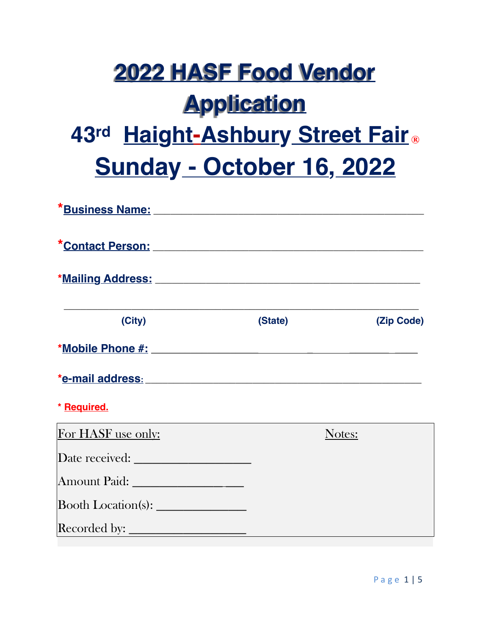### **2022 HASF Food Vendor Application 43rd Haight-Ashbury Street Fair ® Sunday - October 16, 2022**

| <u>*Business Name:</u> Manual Manual Manual Manual Manual Manual Manual Manual Manual Manual Manual Manual Manual Manual                                                                                                       |         |            |
|--------------------------------------------------------------------------------------------------------------------------------------------------------------------------------------------------------------------------------|---------|------------|
|                                                                                                                                                                                                                                |         |            |
|                                                                                                                                                                                                                                |         |            |
| (City)                                                                                                                                                                                                                         | (State) | (Zip Code) |
|                                                                                                                                                                                                                                |         |            |
| *e-mail address: Note that the contract of the contract of the contract of the contract of the contract of the contract of the contract of the contract of the contract of the contract of the contract of the contract of the |         |            |
| * Required.                                                                                                                                                                                                                    |         |            |
| For HASF use only:                                                                                                                                                                                                             |         | Notes:     |
|                                                                                                                                                                                                                                |         |            |
| Amount Paid: _________________                                                                                                                                                                                                 |         |            |
|                                                                                                                                                                                                                                |         |            |
|                                                                                                                                                                                                                                |         |            |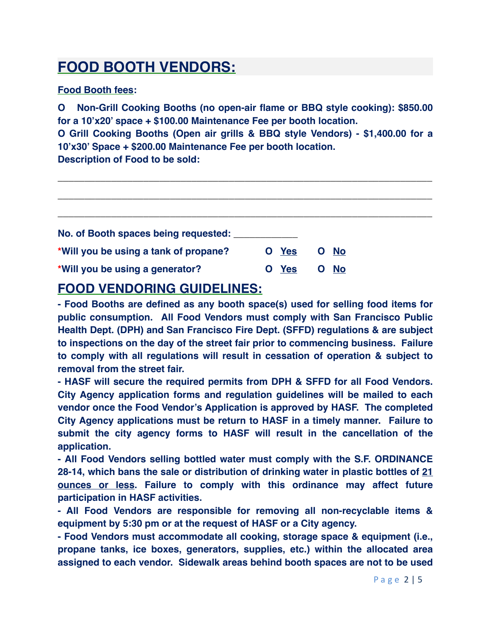#### **FOOD BOOTH VENDORS:**

**Food Booth fees:**

**O Non-Grill Cooking Booths (no open-air flame or BBQ style cooking): \$850.00 for a 10'x20' space + \$100.00 Maintenance Fee per booth location.**

**O Grill Cooking Booths (Open air grills & BBQ style Vendors) - \$1,400.00 for a 10'x30' Space + \$200.00 Maintenance Fee per booth location.** 

**\_\_\_\_\_\_\_\_\_\_\_\_\_\_\_\_\_\_\_\_\_\_\_\_\_\_\_\_\_\_\_\_\_\_\_\_\_\_\_\_\_\_\_\_\_\_\_\_\_\_\_\_\_\_\_\_\_\_\_\_\_\_\_\_\_\_\_\_\_\_**

**Description of Food to be sold:** 

| No. of Booth spaces being requested: _<br>*Will you be using a tank of propane? | O Yes    | O No           |
|---------------------------------------------------------------------------------|----------|----------------|
| *Will you be using a generator?                                                 | Yes<br>O | <b>No</b><br>O |

#### **FOOD VENDORING GUIDELINES:**

**- Food Booths are defined as any booth space(s) used for selling food items for public consumption. All Food Vendors must comply with San Francisco Public Health Dept. (DPH) and San Francisco Fire Dept. (SFFD) regulations & are subject to inspections on the day of the street fair prior to commencing business. Failure to comply with all regulations will result in cessation of operation & subject to removal from the street fair.** 

**- HASF will secure the required permits from DPH & SFFD for all Food Vendors. City Agency application forms and regulation guidelines will be mailed to each vendor once the Food Vendor's Application is approved by HASF. The completed City Agency applications must be return to HASF in a timely manner. Failure to submit the city agency forms to HASF will result in the cancellation of the application.**

**- All Food Vendors selling bottled water must comply with the S.F. ORDINANCE 28-14, which bans the sale or distribution of drinking water in plastic bottles of 21 ounces or less. Failure to comply with this ordinance may affect future participation in HASF activities.** 

**- All Food Vendors are responsible for removing all non-recyclable items & equipment by 5:30 pm or at the request of HASF or a City agency.** 

**- Food Vendors must accommodate all cooking, storage space & equipment (i.e., propane tanks, ice boxes, generators, supplies, etc.) within the allocated area assigned to each vendor. Sidewalk areas behind booth spaces are not to be used**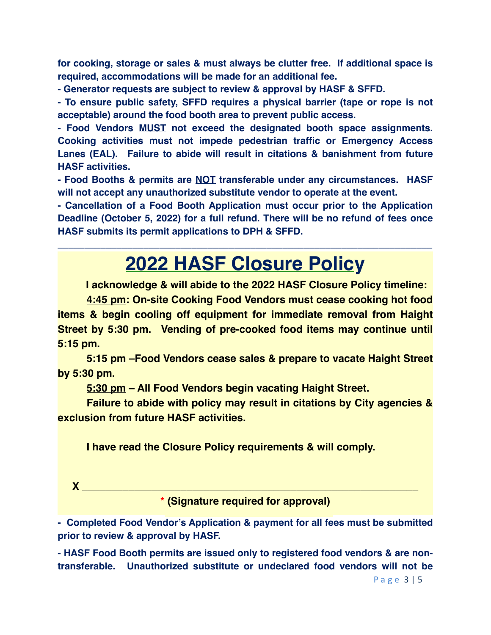**for cooking, storage or sales & must always be clutter free. If additional space is required, accommodations will be made for an additional fee.**

**- Generator requests are subject to review & approval by HASF & SFFD.**

**- To ensure public safety, SFFD requires a physical barrier (tape or rope is not acceptable) around the food booth area to prevent public access.** 

**- Food Vendors MUST not exceed the designated booth space assignments. Cooking activities must not impede pedestrian traffic or Emergency Access Lanes (EAL). Failure to abide will result in citations & banishment from future HASF activities.**

**- Food Booths & permits are NOT transferable under any circumstances. HASF will not accept any unauthorized substitute vendor to operate at the event.** 

**- Cancellation of a Food Booth Application must occur prior to the Application Deadline (October 5, 2022) for a full refund. There will be no refund of fees once HASF submits its permit applications to DPH & SFFD.** 

### **2022 HASF Closure Policy**

**\_\_\_\_\_\_\_\_\_\_\_\_\_\_\_\_\_\_\_\_\_\_\_\_\_\_\_\_\_\_\_\_\_\_\_\_\_\_\_\_\_\_\_\_\_\_\_\_\_\_\_\_\_\_\_\_\_\_\_\_\_\_\_\_\_\_\_\_\_\_**

**I acknowledge & will abide to the 2022 HASF Closure Policy timeline:**

**4:45 pm: On-site Cooking Food Vendors must cease cooking hot food items & begin cooling off equipment for immediate removal from Haight Street by 5:30 pm. Vending of pre-cooked food items may continue until 5:15 pm.**

**5:15 pm –Food Vendors cease sales & prepare to vacate Haight Street by 5:30 pm.**

**5:30 pm – All Food Vendors begin vacating Haight Street.**

**Failure to abide with policy may result in citations by City agencies & exclusion from future HASF activities.**

 **I have read the Closure Policy requirements & will comply.**

**X \_\_\_\_\_\_\_\_\_\_\_\_\_\_\_\_\_\_\_\_\_\_\_\_\_\_\_\_\_\_\_\_\_\_\_\_\_\_\_\_\_\_\_\_\_\_\_\_\_\_\_\_\_\_\_\_\_\_**

**\* (Signature required for approval)**

**- Completed Food Vendor's Application & payment for all fees must be submitted prior to review & approval by HASF.** 

**- HASF Food Booth permits are issued only to registered food vendors & are nontransferable. Unauthorized substitute or undeclared food vendors will not be**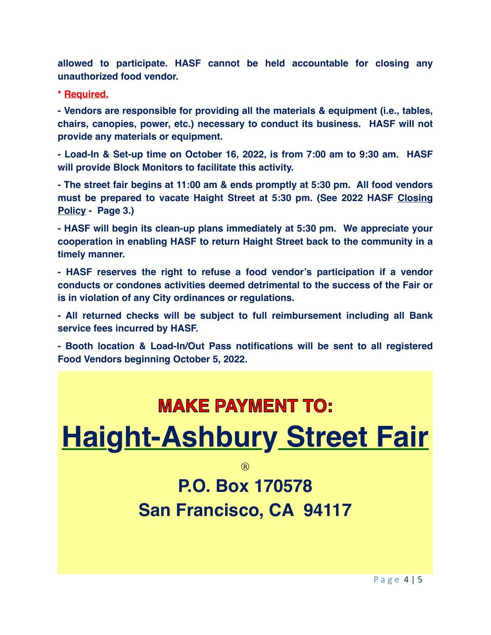**allowed to participate. HASF cannot be held accountable for closing any unauthorized food vendor.** 

**\* Required.**

**- Vendors are responsible for providing all the materials & equipment (i.e., tables, chairs, canopies, power, etc.) necessary to conduct its business. HASF will not provide any materials or equipment.**

**- Load-In & Set-up time on October 16, 2022, is from 7:00 am to 9:30 am. HASF will provide Block Monitors to facilitate this activity.** 

**- The street fair begins at 11:00 am & ends promptly at 5:30 pm. All food vendors must be prepared to vacate Haight Street at 5:30 pm. (See 2022 HASF Closing Policy - Page 3.)**

**- HASF will begin its clean-up plans immediately at 5:30 pm. We appreciate your cooperation in enabling HASF to return Haight Street back to the community in a timely manner.** 

**- HASF reserves the right to refuse a food vendor's participation if a vendor conducts or condones activities deemed detrimental to the success of the Fair or is in violation of any City ordinances or regulations.**

**- All returned checks will be subject to full reimbursement including all Bank service fees incurred by HASF.** 

**- Booth location & Load-In/Out Pass notifications will be sent to all registered Food Vendors beginning October 5, 2022.** 

#### **MAKE PAYMENT TO:**

# **Haight-Ashbury Street Fair**

®

### **P.O. Box 170578 San Francisco, CA 94117**